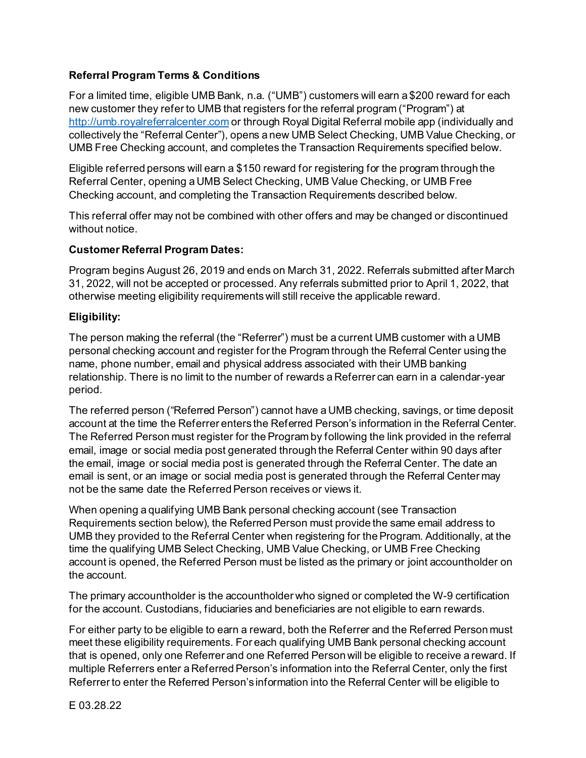## **Referral Program Terms & Conditions**

For a limited time, eligible UMB Bank, n.a. ("UMB") customers will earn a \$200 reward for each new customer they refer to UMB that registers for the referral program ("Program") at [http://umb.royalreferralcenter.com](http://umb.royalreferralcenter.com/) or through Royal Digital Referral mobile app (individually and collectively the "Referral Center"), opens a new UMB Select Checking, UMB Value Checking, or UMB Free Checking account, and completes the Transaction Requirements specified below.

Eligible referred persons will earn a \$150 reward for registering for the program through the Referral Center, opening a UMB Select Checking, UMB Value Checking, or UMB Free Checking account, and completing the Transaction Requirements described below.

This referral offer may not be combined with other offers and may be changed or discontinued without notice.

#### **Customer Referral Program Dates:**

Program begins August 26, 2019 and ends on March 31, 2022. Referrals submitted after March 31, 2022, will not be accepted or processed. Any referrals submitted prior to April 1, 2022, that otherwise meeting eligibility requirements will still receive the applicable reward.

#### **Eligibility:**

The person making the referral (the "Referrer") must be a current UMB customer with a UMB personal checking account and register for the Program through the Referral Center using the name, phone number, email and physical address associated with their UMB banking relationship. There is no limit to the number of rewards a Referrer can earn in a calendar-year period.

The referred person ("Referred Person") cannot have a UMB checking, savings, or time deposit account at the time the Referrer enters the Referred Person's information in the Referral Center. The Referred Person must register for the Program by following the link provided in the referral email, image or social media post generated through the Referral Center within 90 days after the email, image or social media post is generated through the Referral Center. The date an email is sent, or an image or social media post is generated through the Referral Center may not be the same date the Referred Person receives or views it.

When opening a qualifying UMB Bank personal checking account (see Transaction Requirements section below), the Referred Person must provide the same email address to UMB they provided to the Referral Center when registering for the Program. Additionally, at the time the qualifying UMB Select Checking, UMB Value Checking, or UMB Free Checking account is opened, the Referred Person must be listed as the primary or joint accountholder on the account.

The primary accountholder is the accountholder who signed or completed the W-9 certification for the account. Custodians, fiduciaries and beneficiaries are not eligible to earn rewards.

For either party to be eligible to earn a reward, both the Referrer and the Referred Person must meet these eligibility requirements. For each qualifying UMB Bank personal checking account that is opened, only one Referrer and one Referred Person will be eligible to receive a reward. If multiple Referrers enter a Referred Person's information into the Referral Center, only the first Referrer to enter the Referred Person's information into the Referral Center will be eligible to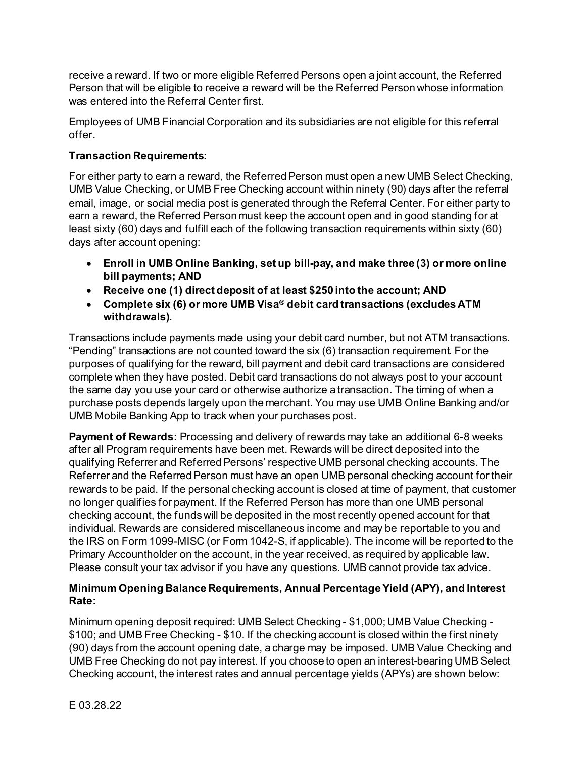receive a reward. If two or more eligible Referred Persons open a joint account, the Referred Person that will be eligible to receive a reward will be the Referred Person whose information was entered into the Referral Center first.

Employees of UMB Financial Corporation and its subsidiaries are not eligible for this referral offer.

# **Transaction Requirements:**

For either party to earn a reward, the Referred Person must open a new UMB Select Checking, UMB Value Checking, or UMB Free Checking account within ninety (90) days after the referral email, image, or social media post is generated through the Referral Center. For either party to earn a reward, the Referred Person must keep the account open and in good standing for at least sixty (60) days and fulfill each of the following transaction requirements within sixty (60) days after account opening:

- **Enroll in UMB Online Banking, set up bill-pay, and make three (3) or more online bill payments; AND**
- **Receive one (1) direct deposit of at least \$250 into the account; AND**
- **Complete six (6) or more UMB Visa® debit card transactions (excludes ATM withdrawals).**

Transactions include payments made using your debit card number, but not ATM transactions. "Pending" transactions are not counted toward the six (6) transaction requirement. For the purposes of qualifying for the reward, bill payment and debit card transactions are considered complete when they have posted. Debit card transactions do not always post to your account the same day you use your card or otherwise authorize a transaction. The timing of when a purchase posts depends largely upon the merchant. You may use UMB Online Banking and/or UMB Mobile Banking App to track when your purchases post.

**Payment of Rewards:** Processing and delivery of rewards may take an additional 6-8 weeks after all Program requirements have been met. Rewards will be direct deposited into the qualifying Referrer and Referred Persons' respective UMB personal checking accounts. The Referrer and the Referred Person must have an open UMB personal checking account for their rewards to be paid. If the personal checking account is closed at time of payment, that customer no longer qualifies for payment. If the Referred Person has more than one UMB personal checking account, the funds will be deposited in the most recently opened account for that individual. Rewards are considered miscellaneous income and may be reportable to you and the IRS on Form 1099-MISC (or Form 1042-S, if applicable). The income will be reported to the Primary Accountholder on the account, in the year received, as required by applicable law. Please consult your tax advisor if you have any questions. UMB cannot provide tax advice.

## **Minimum Opening Balance Requirements, Annual Percentage Yield (APY), and Interest Rate:**

Minimum opening deposit required: UMB Select Checking - \$1,000; UMB Value Checking - \$100; and UMB Free Checking - \$10. If the checking account is closed within the first ninety (90) days from the account opening date, a charge may be imposed. UMB Value Checking and UMB Free Checking do not pay interest. If you choose to open an interest-bearing UMB Select Checking account, the interest rates and annual percentage yields (APYs) are shown below: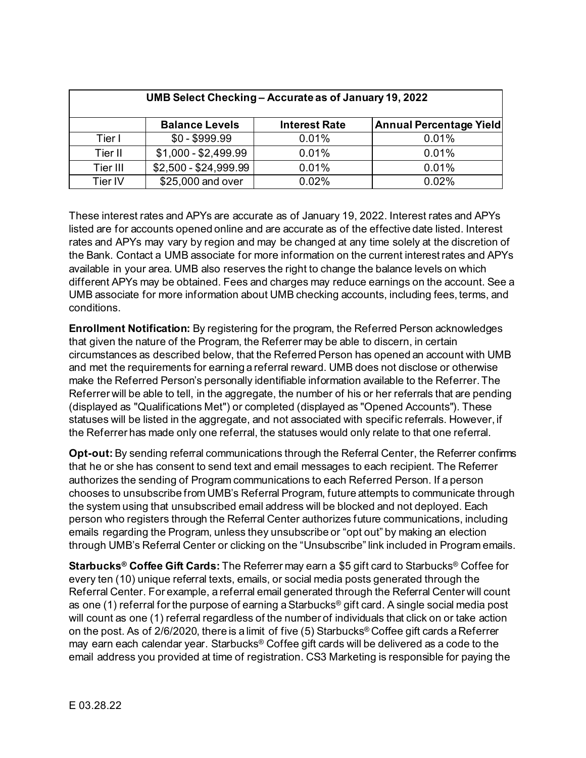| UMB Select Checking - Accurate as of January 19, 2022 |                       |                      |                                |
|-------------------------------------------------------|-----------------------|----------------------|--------------------------------|
|                                                       | <b>Balance Levels</b> | <b>Interest Rate</b> | <b>Annual Percentage Yield</b> |
| Tier I                                                | $$0 - $999.99$        | 0.01%                | 0.01%                          |
| Tier II                                               | $$1,000 - $2,499.99$  | 0.01%                | 0.01%                          |
| Tier III                                              | \$2,500 - \$24,999.99 | 0.01%                | 0.01%                          |
| Tier IV                                               | \$25,000 and over     | 0.02%                | 0.02%                          |

These interest rates and APYs are accurate as of January 19, 2022. Interest rates and APYs listed are for accounts opened online and are accurate as of the effective date listed. Interest rates and APYs may vary by region and may be changed at any time solely at the discretion of the Bank. Contact a UMB associate for more information on the current interest rates and APYs available in your area. UMB also reserves the right to change the balance levels on which different APYs may be obtained. Fees and charges may reduce earnings on the account. See a UMB associate for more information about UMB checking accounts, including fees, terms, and conditions.

**Enrollment Notification:** By registering for the program, the Referred Person acknowledges that given the nature of the Program, the Referrer may be able to discern, in certain circumstances as described below, that the Referred Person has opened an account with UMB and met the requirements for earning a referral reward. UMB does not disclose or otherwise make the Referred Person's personally identifiable information available to the Referrer. The Referrer will be able to tell, in the aggregate, the number of his or her referrals that are pending (displayed as "Qualifications Met") or completed (displayed as "Opened Accounts"). These statuses will be listed in the aggregate, and not associated with specific referrals. However, if the Referrer has made only one referral, the statuses would only relate to that one referral.

**Opt-out:** By sending referral communications through the Referral Center, the Referrer confirms that he or she has consent to send text and email messages to each recipient. The Referrer authorizes the sending of Program communications to each Referred Person. If a person chooses to unsubscribe from UMB's Referral Program, future attempts to communicate through the system using that unsubscribed email address will be blocked and not deployed. Each person who registers through the Referral Center authorizes future communications, including emails regarding the Program, unless they unsubscribe or "opt out" by making an election through UMB's Referral Center or clicking on the "Unsubscribe" link included in Program emails.

**Starbucks® Coffee Gift Cards:** The Referrer may earn a \$5 gift card to Starbucks® Coffee for every ten (10) unique referral texts, emails, or social media posts generated through the Referral Center. For example, a referral email generated through the Referral Center will count as one (1) referral for the purpose of earning a Starbucks<sup>®</sup> gift card. A single social media post will count as one (1) referral regardless of the number of individuals that click on or take action on the post. As of 2/6/2020, there is a limit of five (5) Starbucks® Coffee gift cards a Referrer may earn each calendar year. Starbucks® Coffee gift cards will be delivered as a code to the email address you provided at time of registration. CS3 Marketing is responsible for paying the